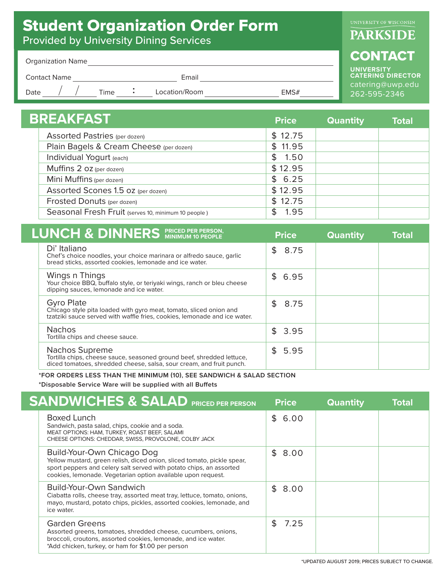## Student Organization Order Form

Provided by University Dining Services

## **PARKSIDE**

## **CONTACT**

**UNIVERSITY CATERING DIRECTOR**  catering@uwp.edu 262-595-2346

| <b>Organization Name</b> |  |
|--------------------------|--|
|--------------------------|--|

Contact Name Email

Date  $\left/ \right/$  Time **:** Location/Room **EMS#** 

| BREAKFAST                                           |         | <b>Quantity</b> | <b>Total</b> |
|-----------------------------------------------------|---------|-----------------|--------------|
| <b>Assorted Pastries (per dozen)</b>                | \$12.75 |                 |              |
| Plain Bagels & Cream Cheese (per dozen)             | \$11.95 |                 |              |
| Individual Yogurt (each)                            | \$1.50  |                 |              |
| Muffins 2 oz (per dozen)                            | \$12.95 |                 |              |
| Mini Muffins (per dozen)                            | \$6.25  |                 |              |
| Assorted Scones 1.5 oz (per dozen)                  | \$12.95 |                 |              |
| Frosted Donuts (per dozen)                          | \$12.75 |                 |              |
| Seasonal Fresh Fruit (serves 10, minimum 10 people) | 1.95    |                 |              |

| <b>LUNCH &amp; DINNERS</b> PRICED PER PERSON,                                                                                                                        | <b>Price</b>           | <b>Quantity</b> | Total |
|----------------------------------------------------------------------------------------------------------------------------------------------------------------------|------------------------|-----------------|-------|
| Di' Italiano<br>Chef's choice noodles, your choice marinara or alfredo sauce, garlic<br>bread sticks, assorted cookies, lemonade and ice water.                      | $\mathfrak{L}$<br>8.75 |                 |       |
| Wings n Things<br>Your choice BBQ, buffalo style, or teriyaki wings, ranch or bleu cheese<br>dipping sauces, lemonade and ice water.                                 | \$6.95                 |                 |       |
| <b>Gyro Plate</b><br>Chicago style pita loaded with gyro meat, tomato, sliced onion and<br>tzatziki sauce served with waffle fries, cookies, lemonade and ice water. | \$8.75                 |                 |       |
| <b>Nachos</b><br>Tortilla chips and cheese sauce.                                                                                                                    | \$3.95                 |                 |       |
| Nachos Supreme<br>Tortilla chips, cheese sauce, seasoned ground beef, shredded lettuce,<br>diced tomatoes, shredded cheese, salsa, sour cream, and fruit punch.      | \$5.95                 |                 |       |

**\*FOR ORDERS LESS THAN THE MINIMUM (10), SEE SANDWICH & SALAD SECTION**

\*Disposable Service Ware will be supplied with all Buffets

| <b>SANDWICHES &amp; SALAD PRICED PER PERSON</b>                                                                                                                                                                                              | <b>Price</b> | <b>Quantity</b> | <b>Total</b> |
|----------------------------------------------------------------------------------------------------------------------------------------------------------------------------------------------------------------------------------------------|--------------|-----------------|--------------|
| <b>Boxed Lunch</b><br>Sandwich, pasta salad, chips, cookie and a soda.<br>MEAT OPTIONS: HAM, TURKEY, ROAST BEEF, SALAMI<br>CHEESE OPTIONS: CHEDDAR, SWISS, PROVOLONE, COLBY JACK                                                             | \$6.00       |                 |              |
| Build-Your-Own Chicago Dog<br>Yellow mustard, green relish, diced onion, sliced tomato, pickle spear,<br>sport peppers and celery salt served with potato chips, an assorted<br>cookies, lemonade. Vegetarian option available upon request. | \$8.00       |                 |              |
| Build-Your-Own Sandwich<br>Ciabatta rolls, cheese tray, assorted meat tray, lettuce, tomato, onions,<br>mayo, mustard, potato chips, pickles, assorted cookies, lemonade, and<br>ice water.                                                  | \$8.00       |                 |              |
| <b>Garden Greens</b><br>Assorted greens, tomatoes, shredded cheese, cucumbers, onions,<br>broccoli, croutons, assorted cookies, lemonade, and ice water.<br>*Add chicken, turkey, or ham for \$1.00 per person                               | \$.<br>7.25  |                 |              |